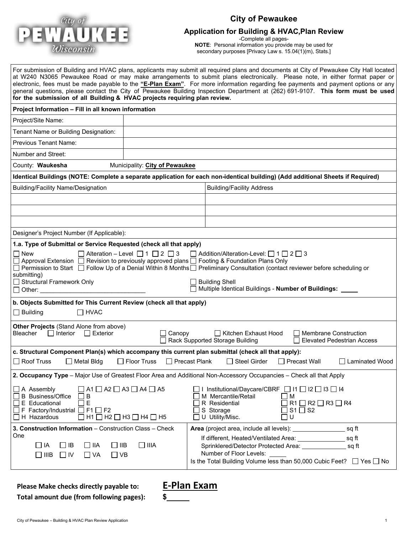

# **City of Pewaukee**

# **Application for Building & HVAC,Plan Review**

-Complete all pages-**NOTE**: Personal information you provide may be used for secondary purposes [Privacy Law s. 15.04(1)(m), Stats.]

| for the submission of all Building & HVAC projects requiring plan review.                                                                                                                                                                                           |                                               |                                                                                                                                                                  | For submission of Building and HVAC plans, applicants may submit all required plans and documents at City of Pewaukee City Hall located<br>at W240 N3065 Pewaukee Road or may make arrangements to submit plans electronically. Please note, in either format paper or<br>electronic, fees must be made payable to the "E-Plan Exam". For more information regarding fee payments and payment options or any<br>general questions, please contact the City of Pewaukee Building Inspection Department at (262) 691-9107. This form must be used |
|---------------------------------------------------------------------------------------------------------------------------------------------------------------------------------------------------------------------------------------------------------------------|-----------------------------------------------|------------------------------------------------------------------------------------------------------------------------------------------------------------------|-------------------------------------------------------------------------------------------------------------------------------------------------------------------------------------------------------------------------------------------------------------------------------------------------------------------------------------------------------------------------------------------------------------------------------------------------------------------------------------------------------------------------------------------------|
| Project Information - Fill in all known information                                                                                                                                                                                                                 |                                               |                                                                                                                                                                  |                                                                                                                                                                                                                                                                                                                                                                                                                                                                                                                                                 |
| Project/Site Name:                                                                                                                                                                                                                                                  |                                               |                                                                                                                                                                  |                                                                                                                                                                                                                                                                                                                                                                                                                                                                                                                                                 |
| Tenant Name or Building Designation:                                                                                                                                                                                                                                |                                               |                                                                                                                                                                  |                                                                                                                                                                                                                                                                                                                                                                                                                                                                                                                                                 |
| <b>Previous Tenant Name:</b>                                                                                                                                                                                                                                        |                                               |                                                                                                                                                                  |                                                                                                                                                                                                                                                                                                                                                                                                                                                                                                                                                 |
| <b>Number and Street:</b>                                                                                                                                                                                                                                           |                                               |                                                                                                                                                                  |                                                                                                                                                                                                                                                                                                                                                                                                                                                                                                                                                 |
| County: Waukesha                                                                                                                                                                                                                                                    | Municipality: City of Pewaukee                |                                                                                                                                                                  |                                                                                                                                                                                                                                                                                                                                                                                                                                                                                                                                                 |
| Identical Buildings (NOTE: Complete a separate application for each non-identical building) (Add additional Sheets if Required)                                                                                                                                     |                                               |                                                                                                                                                                  |                                                                                                                                                                                                                                                                                                                                                                                                                                                                                                                                                 |
| <b>Building/Facility Name/Designation</b>                                                                                                                                                                                                                           |                                               | <b>Building/Facility Address</b>                                                                                                                                 |                                                                                                                                                                                                                                                                                                                                                                                                                                                                                                                                                 |
|                                                                                                                                                                                                                                                                     |                                               |                                                                                                                                                                  |                                                                                                                                                                                                                                                                                                                                                                                                                                                                                                                                                 |
|                                                                                                                                                                                                                                                                     |                                               |                                                                                                                                                                  |                                                                                                                                                                                                                                                                                                                                                                                                                                                                                                                                                 |
|                                                                                                                                                                                                                                                                     |                                               |                                                                                                                                                                  |                                                                                                                                                                                                                                                                                                                                                                                                                                                                                                                                                 |
| Designer's Project Number (If Applicable):                                                                                                                                                                                                                          |                                               |                                                                                                                                                                  |                                                                                                                                                                                                                                                                                                                                                                                                                                                                                                                                                 |
| 1.a. Type of Submittal or Service Requested (check all that apply)                                                                                                                                                                                                  |                                               |                                                                                                                                                                  |                                                                                                                                                                                                                                                                                                                                                                                                                                                                                                                                                 |
| l I New<br>Approval Extension<br>□ Permission to Start □ Follow Up of a Denial Within 8 Months□ Preliminary Consultation (contact reviewer before scheduling or<br>submitting)<br>Structural Framework Only<br>$\Box$ Other:                                        | Alteration - Level $\Box$ 1 $\Box$ 2 $\Box$ 3 | $\Box$ Addition/Alteration-Level: $\Box$ 1 $\Box$ 2 $\Box$ 3<br>Revision to previously approved plans □ Footing & Foundation Plans Only<br><b>Building Shell</b> | Multiple Identical Buildings - Number of Buildings: ____                                                                                                                                                                                                                                                                                                                                                                                                                                                                                        |
| b. Objects Submitted for This Current Review (check all that apply)<br>$\Box$ Building<br>$\Box$ HVAC                                                                                                                                                               |                                               |                                                                                                                                                                  |                                                                                                                                                                                                                                                                                                                                                                                                                                                                                                                                                 |
| Other Projects (Stand Alone from above)<br>Bleacher<br>$\Box$ Interior<br>$\Box$ Exterior                                                                                                                                                                           | Canopy                                        | Kitchen Exhaust Hood<br>Rack Supported Storage Building                                                                                                          | <b>Membrane Construction</b><br><b>Elevated Pedestrian Access</b>                                                                                                                                                                                                                                                                                                                                                                                                                                                                               |
| c. Structural Component Plan(s) which accompany this current plan submittal (check all that apply):                                                                                                                                                                 |                                               |                                                                                                                                                                  |                                                                                                                                                                                                                                                                                                                                                                                                                                                                                                                                                 |
| $\Box$ Roof Truss<br>ヿ Metal Bldq                                                                                                                                                                                                                                   | $\Box$ Floor Truss<br>□ Precast Plank         | □ Steel Girder                                                                                                                                                   | ⊟ Precast Wall<br>l Laminated Wood                                                                                                                                                                                                                                                                                                                                                                                                                                                                                                              |
| 2. Occupancy Type - Major Use of Greatest Floor Area and Additional Non-Accessory Occupancies - Check all that Apply                                                                                                                                                |                                               |                                                                                                                                                                  |                                                                                                                                                                                                                                                                                                                                                                                                                                                                                                                                                 |
| $\Box$ A1 $\Box$ A2 $\Box$ A3 $\Box$ A4 $\Box$ A5<br>$\Box$ A Assembly<br>□ B Business/Office<br>B<br>E<br>$\Box$ E Educational<br>ΙI<br>$\Box$ F Factory/Industrial $\Box$ F1 $\Box$ F2<br>$\Box$ H Hazardous<br>$\Box$ H1 $\Box$ H2 $\Box$ H3 $\Box$ H4 $\Box$ H5 |                                               | $\Box$ I Institutional/Daycare/CBRF $\Box$ I1 $\Box$ I2 $\Box$ I3 $\Box$ I4<br>M Mercantile/Retail<br>R Residential<br>S Storage<br>U Utility/Misc.              | $\Box$ M<br>$R1 \square R2 \square R3 \square R4$<br>$S1 \square$ S2<br>ם ∪                                                                                                                                                                                                                                                                                                                                                                                                                                                                     |
| 3. Construction Information - Construction Class - Check                                                                                                                                                                                                            |                                               | Area (project area, include all levels):                                                                                                                         | sq ft                                                                                                                                                                                                                                                                                                                                                                                                                                                                                                                                           |
| One<br>$\Box$ IA<br>$\Box$ IB<br>$\Box$ IIA<br>$\Box$ IIB<br>$\square$ IIIB<br>$\Box$ VA<br>$\Box$ VB<br>$\Box$ IV                                                                                                                                                  | $\square$ IIIA                                | Number of Floor Levels:                                                                                                                                          | If different, Heated/Ventilated Area: _____________________ sq ft<br>Sprinklered/Detector Protected Area: sq ft<br>Is the Total Building Volume less than 50,000 Cubic Feet? $\Box$ Yes $\Box$ No                                                                                                                                                                                                                                                                                                                                               |

**Please Make checks directly payable to: E-Plan Exam Total amount due (from following pages): \$**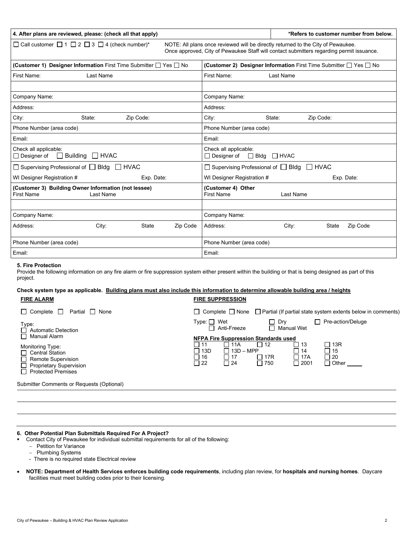| 4. After plans are reviewed, please: (check all that apply)                                                                                                                                                                     | *Refers to customer number from below.                                      |  |  |
|---------------------------------------------------------------------------------------------------------------------------------------------------------------------------------------------------------------------------------|-----------------------------------------------------------------------------|--|--|
| □ Call customer □ 1 □ 2 □ 3 □ 4 (check number)*<br>NOTE: All plans once reviewed will be directly returned to the City of Pewaukee.<br>Once approved, City of Pewaukee Staff will contact submitters regarding permit issuance. |                                                                             |  |  |
| <b>(Customer 1) Designer Information</b> First Time Submitter $\Box$ Yes $\Box$ No                                                                                                                                              | (Customer 2) Designer Information First Time Submitter $\Box$ Yes $\Box$ No |  |  |
| First Name:<br>Last Name                                                                                                                                                                                                        | First Name:<br>Last Name                                                    |  |  |
|                                                                                                                                                                                                                                 |                                                                             |  |  |
| Company Name:                                                                                                                                                                                                                   | Company Name:                                                               |  |  |
| Address:                                                                                                                                                                                                                        | Address:                                                                    |  |  |
| City:<br>Zip Code:<br>State:                                                                                                                                                                                                    | City:<br>Zip Code:<br>State:                                                |  |  |
| Phone Number (area code)                                                                                                                                                                                                        | Phone Number (area code)                                                    |  |  |
| Email:                                                                                                                                                                                                                          | Email:                                                                      |  |  |
| Check all applicable:<br><b>Building</b> HVAC<br>$\Box$ Designer of                                                                                                                                                             | Check all applicable:<br>$\Box$ Bldg $\Box$ HVAC<br>$\Box$ Designer of      |  |  |
| □ Supervising Professional of □ Bldg □ HVAC                                                                                                                                                                                     | □ Supervising Professional of □ Bldg □ HVAC                                 |  |  |
| WI Designer Registration #<br>Exp. Date:                                                                                                                                                                                        | WI Designer Registration #<br>Exp. Date:                                    |  |  |
| (Customer 3) Building Owner Information (not lessee)<br><b>First Name</b><br>Last Name                                                                                                                                          | (Customer 4) Other<br><b>First Name</b><br>Last Name                        |  |  |

# Company Name: Company Name: Address: City: State Zip Code |Address: City: State Zip Code Phone Number (area code) Phone Number (area code) Email: Email:

#### **5. Fire Protection**

Provide the following information on any fire alarm or fire suppression system either present within the building or that is being designed as part of this project.

#### **Check system type as applicable. Building plans must also include this information to determine allowable building area / heights FIRE ALARM FIRE SUPPRESSION**

| $\Box$ Complete $\Box$<br>Partial □ None                                                                                          |                                                                                           |                                                                                         | $\Box$ Complete $\Box$ None $\Box$ Partial (If partial state system extents below in comments) |
|-----------------------------------------------------------------------------------------------------------------------------------|-------------------------------------------------------------------------------------------|-----------------------------------------------------------------------------------------|------------------------------------------------------------------------------------------------|
| Type:<br>□ Automatic Detection<br>$\Box$ Manual Alarm                                                                             | $Type: \Box$ Wet<br>Anti-Freeze<br><b>NFPA Fire Suppression Standards used</b>            | $\Box$ Dry<br>$\Box$ Manual Wet                                                         | Pre-action/Deluge                                                                              |
| Monitoring Type:<br>□ Central Station<br>$\Box$ Remote Supervision<br>$\Box$ Proprietary Supervision<br>$\Box$ Protected Premises | $\Box$ 11<br>ヿ 11A<br>$\Box$ 13D – MPP<br>□ 13D<br>□ 16<br>l 17<br>$\Box$ 22<br>$\Box$ 24 | $\Box$ 12<br>∐ 13<br>$\Box$ 14<br>$\Box$ 17A<br>$\Box$ 17R<br>$\Box$ 750<br>$\Box$ 2001 | □ 13R<br>□ 15<br>$\Box$ 20<br>$\Box$ Other                                                     |
| Submitter Comments or Requests (Optional)                                                                                         |                                                                                           |                                                                                         |                                                                                                |
|                                                                                                                                   |                                                                                           |                                                                                         |                                                                                                |

#### **6. Other Potential Plan Submittals Required For A Project?**

Contact City of Pewaukee for individual submittal requirements for all of the following:

− Petition for Variance

- − Plumbing Systems
- There is no required state Electrical review
- **NOTE: Department of Health Services enforces building code requirements**, including plan review, for **hospitals and nursing homes**. Daycare facilities must meet building codes prior to their licensing.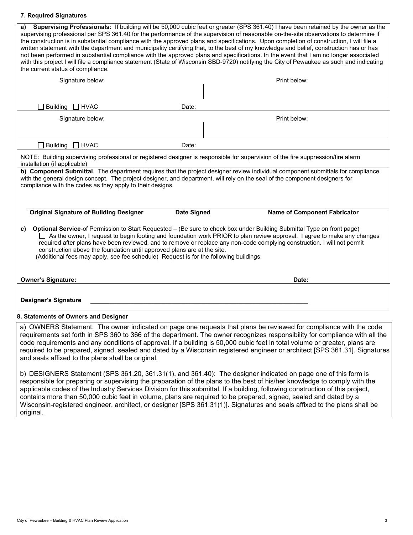## **7. Required Signatures**

| Supervising Professionals: If building will be 50,000 cubic feet or greater (SPS 361.40) I have been retained by the owner as the<br>a)<br>supervising professional per SPS 361.40 for the performance of the supervision of reasonable on-the-site observations to determine if<br>the construction is in substantial compliance with the approved plans and specifications. Upon completion of construction, I will file a<br>written statement with the department and municipality certifying that, to the best of my knowledge and belief, construction has or has<br>not been performed in substantial compliance with the approved plans and specifications. In the event that I am no longer associated<br>with this project I will file a compliance statement (State of Wisconsin SBD-9720) notifying the City of Pewaukee as such and indicating<br>the current status of compliance. |                                     |  |  |  |
|--------------------------------------------------------------------------------------------------------------------------------------------------------------------------------------------------------------------------------------------------------------------------------------------------------------------------------------------------------------------------------------------------------------------------------------------------------------------------------------------------------------------------------------------------------------------------------------------------------------------------------------------------------------------------------------------------------------------------------------------------------------------------------------------------------------------------------------------------------------------------------------------------|-------------------------------------|--|--|--|
| Signature below:                                                                                                                                                                                                                                                                                                                                                                                                                                                                                                                                                                                                                                                                                                                                                                                                                                                                                 | Print below:                        |  |  |  |
|                                                                                                                                                                                                                                                                                                                                                                                                                                                                                                                                                                                                                                                                                                                                                                                                                                                                                                  |                                     |  |  |  |
| $\Box$ HVAC<br>Building<br>Date:                                                                                                                                                                                                                                                                                                                                                                                                                                                                                                                                                                                                                                                                                                                                                                                                                                                                 |                                     |  |  |  |
| Signature below:                                                                                                                                                                                                                                                                                                                                                                                                                                                                                                                                                                                                                                                                                                                                                                                                                                                                                 | Print below:                        |  |  |  |
|                                                                                                                                                                                                                                                                                                                                                                                                                                                                                                                                                                                                                                                                                                                                                                                                                                                                                                  |                                     |  |  |  |
| Building $\Box$ HVAC<br>Date:                                                                                                                                                                                                                                                                                                                                                                                                                                                                                                                                                                                                                                                                                                                                                                                                                                                                    |                                     |  |  |  |
| NOTE: Building supervising professional or registered designer is responsible for supervision of the fire suppression/fire alarm<br>installation (if applicable)                                                                                                                                                                                                                                                                                                                                                                                                                                                                                                                                                                                                                                                                                                                                 |                                     |  |  |  |
| b) Component Submittal. The department requires that the project designer review individual component submittals for compliance<br>with the general design concept. The project designer, and department, will rely on the seal of the component designers for<br>compliance with the codes as they apply to their designs.                                                                                                                                                                                                                                                                                                                                                                                                                                                                                                                                                                      |                                     |  |  |  |
| <b>Original Signature of Building Designer</b><br><b>Date Signed</b>                                                                                                                                                                                                                                                                                                                                                                                                                                                                                                                                                                                                                                                                                                                                                                                                                             | <b>Name of Component Fabricator</b> |  |  |  |
| Optional Service-of Permission to Start Requested - (Be sure to check box under Building Submittal Type on front page)<br>C)<br>□ As the owner, I request to begin footing and foundation work PRIOR to plan review approval. I agree to make any changes<br>required after plans have been reviewed, and to remove or replace any non-code complying construction. I will not permit<br>construction above the foundation until approved plans are at the site.<br>(Additional fees may apply, see fee schedule) Request is for the following buildings:                                                                                                                                                                                                                                                                                                                                        |                                     |  |  |  |
| <b>Owner's Signature:</b>                                                                                                                                                                                                                                                                                                                                                                                                                                                                                                                                                                                                                                                                                                                                                                                                                                                                        | Date:                               |  |  |  |
| <b>Designer's Signature</b>                                                                                                                                                                                                                                                                                                                                                                                                                                                                                                                                                                                                                                                                                                                                                                                                                                                                      |                                     |  |  |  |
| 8. Statements of Owners and Designer                                                                                                                                                                                                                                                                                                                                                                                                                                                                                                                                                                                                                                                                                                                                                                                                                                                             |                                     |  |  |  |
| a) OWNERS Statement: The owner indicated on page one requests that plans be reviewed for compliance with the code<br>requirements set forth in SPS 360 to 366 of the department. The owner recognizes responsibility for compliance with all the<br>code requirements and any conditions of approval. If a building is 50,000 cubic feet in total volume or greater, plans are<br>required to be prepared, signed, sealed and dated by a Wisconsin registered engineer or architect [SPS 361.31]. Signatures                                                                                                                                                                                                                                                                                                                                                                                     |                                     |  |  |  |

and seals affixed to the plans shall be original. b) DESIGNERS Statement (SPS 361.20, 361.31(1), and 361.40): The designer indicated on page one of this form is responsible for preparing or supervising the preparation of the plans to the best of his/her knowledge to comply with the applicable codes of the Industry Services Division for this submittal. If a building, following construction of this project, contains more than 50,000 cubic feet in volume, plans are required to be prepared, signed, sealed and dated by a

Wisconsin-registered engineer, architect, or designer [SPS 361.31(1)]. Signatures and seals affixed to the plans shall be original.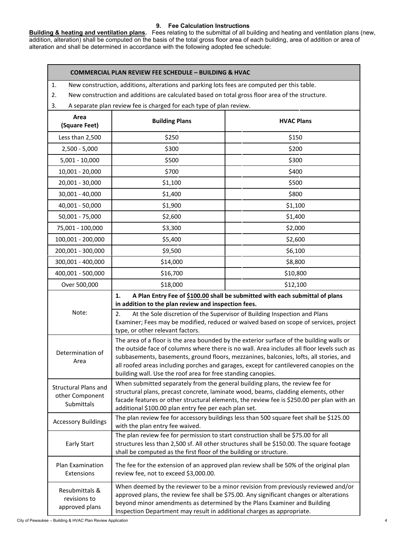## **9. Fee Calculation Instructions**

**Building & heating and ventilation plans.** Fees relating to the submittal of all building and heating and ventilation plans (new, addition, alteration) shall be computed on the basis of the total gross floor area of each building, area of addition or area of alteration and shall be determined in accordance with the following adopted fee schedule:

## **COMMERCIAL PLAN REVIEW FEE SCHEDULE – BUILDING & HVAC**

|  |  |  |  | New construction, additions, alterations and parking lots fees are computed per this table. |
|--|--|--|--|---------------------------------------------------------------------------------------------|
|--|--|--|--|---------------------------------------------------------------------------------------------|

2. New construction and additions are calculated based on total gross floor area of the structure.

3. A separate plan review fee is charged for each type of plan review.

| Area<br>(Square Feet)                                        | <b>Building Plans</b>                                                                                                                                                                                                                                                                                                                                                                                                                       | <b>HVAC Plans</b> |  |
|--------------------------------------------------------------|---------------------------------------------------------------------------------------------------------------------------------------------------------------------------------------------------------------------------------------------------------------------------------------------------------------------------------------------------------------------------------------------------------------------------------------------|-------------------|--|
| Less than 2,500                                              | \$250                                                                                                                                                                                                                                                                                                                                                                                                                                       | \$150             |  |
| $2,500 - 5,000$                                              | \$300                                                                                                                                                                                                                                                                                                                                                                                                                                       | \$200             |  |
| $5,001 - 10,000$                                             | \$500                                                                                                                                                                                                                                                                                                                                                                                                                                       | \$300             |  |
| $10,001 - 20,000$                                            | \$700                                                                                                                                                                                                                                                                                                                                                                                                                                       | \$400             |  |
| 20,001 - 30,000                                              | \$1,100                                                                                                                                                                                                                                                                                                                                                                                                                                     | \$500             |  |
| 30,001 - 40,000                                              | \$1,400                                                                                                                                                                                                                                                                                                                                                                                                                                     | \$800             |  |
| 40,001 - 50,000                                              | \$1,900                                                                                                                                                                                                                                                                                                                                                                                                                                     | \$1,100           |  |
| 50,001 - 75,000                                              | \$2,600                                                                                                                                                                                                                                                                                                                                                                                                                                     | \$1,400           |  |
| 75,001 - 100,000                                             | \$3,300                                                                                                                                                                                                                                                                                                                                                                                                                                     | \$2,000           |  |
| 100,001 - 200,000                                            | \$5,400                                                                                                                                                                                                                                                                                                                                                                                                                                     | \$2,600           |  |
| 200,001 - 300,000                                            | \$9,500                                                                                                                                                                                                                                                                                                                                                                                                                                     | \$6,100           |  |
| 300,001 - 400,000                                            | \$14,000                                                                                                                                                                                                                                                                                                                                                                                                                                    | \$8,800           |  |
| 400,001 - 500,000                                            | \$16,700                                                                                                                                                                                                                                                                                                                                                                                                                                    | \$10,800          |  |
| Over 500,000                                                 | \$18,000                                                                                                                                                                                                                                                                                                                                                                                                                                    | \$12,100          |  |
|                                                              | 1.<br>A Plan Entry Fee of \$100.00 shall be submitted with each submittal of plans<br>in addition to the plan review and inspection fees.<br>Note:<br>At the Sole discretion of the Supervisor of Building Inspection and Plans<br>2.<br>Examiner; Fees may be modified, reduced or waived based on scope of services, project<br>type, or other relevant factors.                                                                          |                   |  |
|                                                              |                                                                                                                                                                                                                                                                                                                                                                                                                                             |                   |  |
| Determination of<br>Area                                     | The area of a floor is the area bounded by the exterior surface of the building walls or<br>the outside face of columns where there is no wall. Area includes all floor levels such as<br>subbasements, basements, ground floors, mezzanines, balconies, lofts, all stories, and<br>all roofed areas including porches and garages, except for cantilevered canopies on the<br>building wall. Use the roof area for free standing canopies. |                   |  |
| <b>Structural Plans and</b><br>other Component<br>Submittals | When submitted separately from the general building plans, the review fee for<br>structural plans, precast concrete, laminate wood, beams, cladding elements, other<br>facade features or other structural elements, the review fee is \$250.00 per plan with an<br>additional \$100.00 plan entry fee per each plan set.                                                                                                                   |                   |  |
| <b>Accessory Buildings</b>                                   | The plan review fee for accessory buildings less than 500 square feet shall be \$125.00<br>with the plan entry fee waived.                                                                                                                                                                                                                                                                                                                  |                   |  |
| <b>Early Start</b>                                           | The plan review fee for permission to start construction shall be \$75.00 for all<br>structures less than 2,500 sf. All other structures shall be \$150.00. The square footage<br>shall be computed as the first floor of the building or structure.                                                                                                                                                                                        |                   |  |
| Plan Examination<br>Extensions                               | The fee for the extension of an approved plan review shall be 50% of the original plan<br>review fee, not to exceed \$3,000.00.                                                                                                                                                                                                                                                                                                             |                   |  |
| Resubmittals &<br>revisions to<br>approved plans             | When deemed by the reviewer to be a minor revision from previously reviewed and/or<br>approved plans, the review fee shall be \$75.00. Any significant changes or alterations<br>beyond minor amendments as determined by the Plans Examiner and Building<br>Inspection Department may result in additional charges as appropriate.                                                                                                         |                   |  |